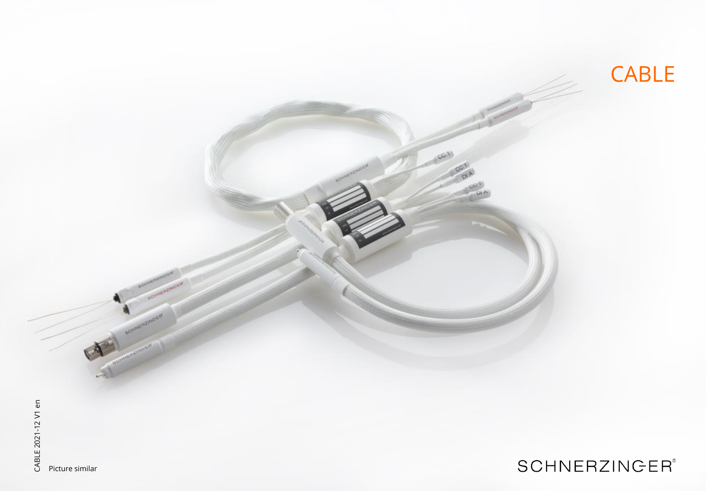

CABLE 2021-12 V1 en CABLE 2021-12 V1 en Picture similar

## **SCHNERZINGER®**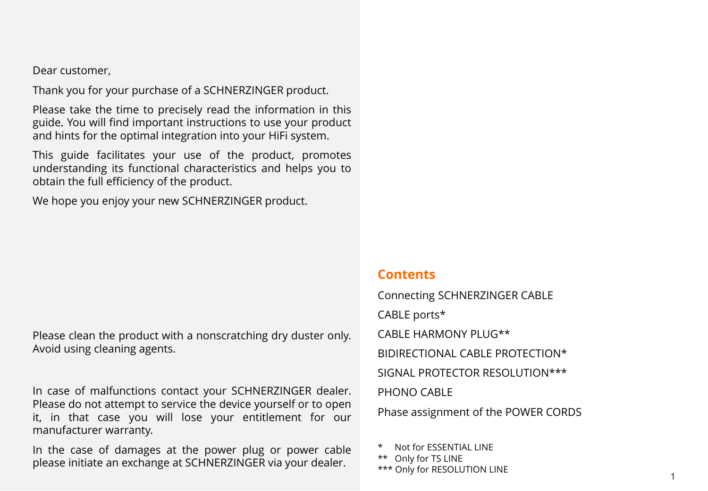Dear customer,

Thank you for your purchase of a SCHNERZINGER product.

Please take the time to precisely read the information in this guide. You will find important instructions to use your product and hints for the optimal integration into your HiFi system.

This guide facilitates your use of the product, promotes understanding its functional characteristics and helps you to obtain the full efficiency of the product.

We hope you enjoy your new SCHNERZINGER product.

Please clean the product with a nonscratching dry duster only. Avoid using cleaning agents.

In case of malfunctions contact your SCHNERZINGER dealer. Please do not attempt to service the device yourself or to open it, in that case you will lose your entitlement for our manufacturer warranty.

In the case of damages at the power plug or power cable please initiate an exchange at SCHNERZINGER via your dealer.

#### **Contents**

Connecting SCHNERZINGER CABLE CABLE ports\* CABLE HARMONY PLUG\*\* BIDIRECTIONAL CABLE PROTECTION\* SIGNAL PROTECTOR RESOLUTION\*\*\* PHONO CABLE Phase assignment of the POWER CORDS

Not for ESSENTIAL LINE \*\* Only for TS LINE

\*\*\* Only for RESOLUTION LINE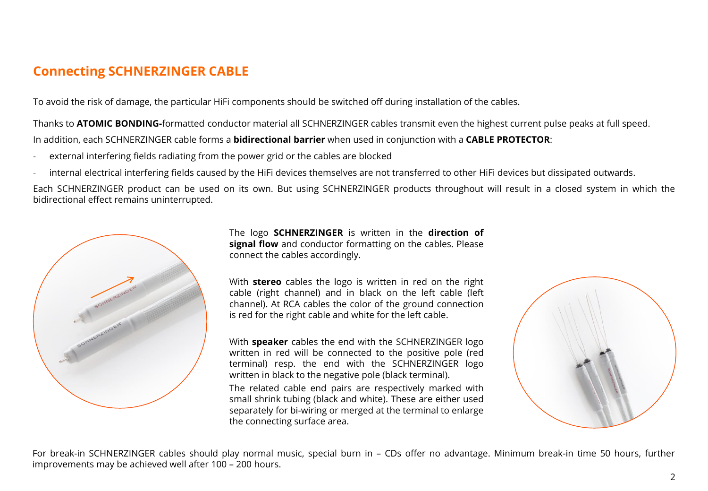### **Connecting SCHNERZINGER CABLE**

To avoid the risk of damage, the particular HiFi components should be switched off during installation of the cables.

Thanks to **ATOMIC BONDING-**formatted conductor material all SCHNERZINGER cables transmit even the highest current pulse peaks at full speed. In addition, each SCHNERZINGER cable forms a **bidirectional barrier** when used in conjunction with a **CABLE PROTECTOR**:

- external interfering fields radiating from the power grid or the cables are blocked
- internal electrical interfering fields caused by the HiFi devices themselves are not transferred to other HiFi devices but dissipated outwards.

Each SCHNERZINGER product can be used on its own. But using SCHNERZINGER products throughout will result in a closed system in which the bidirectional effect remains uninterrupted.



The logo **SCHNERZINGER** is written in the **direction of signal flow** and conductor formatting on the cables. Please connect the cables accordingly.

With **stereo** cables the logo is written in red on the right cable (right channel) and in black on the left cable (left channel). At RCA cables the color of the ground connection is red for the right cable and white for the left cable.

With **speaker** cables the end with the SCHNERZINGER logo written in red will be connected to the positive pole (red terminal) resp. the end with the SCHNERZINGER logo written in black to the negative pole (black terminal).

The related cable end pairs are respectively marked with small shrink tubing (black and white). These are either used separately for bi-wiring or merged at the terminal to enlarge the connecting surface area.



For break-in SCHNERZINGER cables should play normal music, special burn in – CDs offer no advantage. Minimum break-in time 50 hours, further improvements may be achieved well after 100 – 200 hours.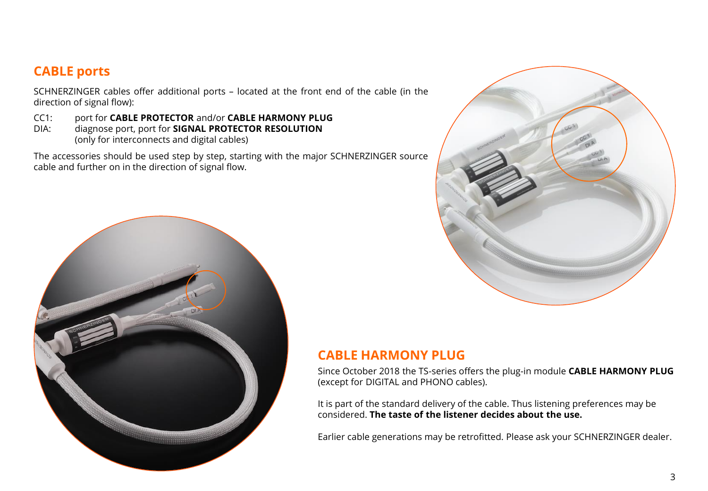#### **CABLE ports**

SCHNERZINGER cables offer additional ports – located at the front end of the cable (in the direction of signal flow):

CC1: port for **CABLE PROTECTOR** and/or **CABLE HARMONY PLUG**

DIA: diagnose port, port for **SIGNAL PROTECTOR RESOLUTION** (only for interconnects and digital cables)

The accessories should be used step by step, starting with the major SCHNERZINGER source cable and further on in the direction of signal flow.





#### **CABLE HARMONY PLUG**

Since October 2018 the TS-series offers the plug-in module **CABLE HARMONY PLUG** (except for DIGITAL and PHONO cables).

It is part of the standard delivery of the cable. Thus listening preferences may be considered. **The taste of the listener decides about the use.**

Earlier cable generations may be retrofitted. Please ask your SCHNERZINGER dealer.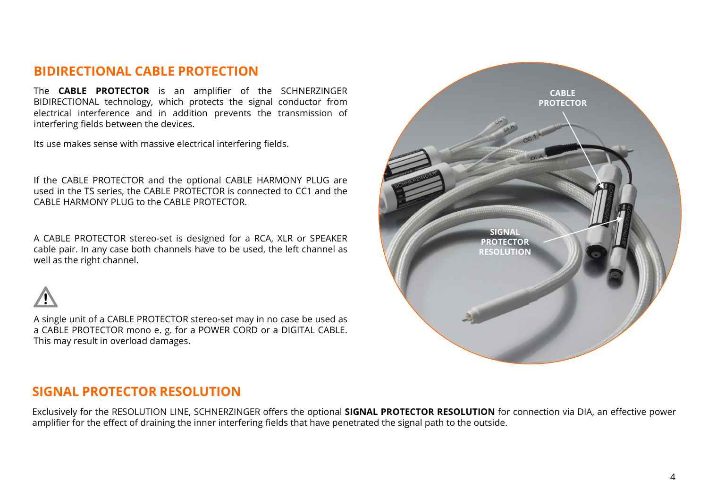#### **BIDIRECTIONAL CABLE PROTECTION**

The **CABLE PROTECTOR** is an amplifier of the SCHNERZINGER BIDIRECTIONAL technology, which protects the signal conductor from electrical interference and in addition prevents the transmission of interfering fields between the devices.

Its use makes sense with massive electrical interfering fields.

If the CABLE PROTECTOR and the optional CABLE HARMONY PLUG are used in the TS series, the CABLE PROTECTOR is connected to CC1 and the CABLE HARMONY PLUG to the CABLE PROTECTOR.

A CABLE PROTECTOR stereo-set is designed for a RCA, XLR or SPEAKER cable pair. In any case both channels have to be used, the left channel as well as the right channel.



A single unit of a CABLE PROTECTOR stereo-set may in no case be used as a CABLE PROTECTOR mono e. g. for a POWER CORD or a DIGITAL CABLE. This may result in overload damages.

# **SIGNAL PROTECTOR RESOLUTION CABLE PROTECTOR**

#### **SIGNAL PROTECTOR RESOLUTION**

Exclusively for the RESOLUTION LINE, SCHNERZINGER offers the optional **SIGNAL PROTECTOR RESOLUTION** for connection via DIA, an effective power amplifier for the effect of draining the inner interfering fields that have penetrated the signal path to the outside.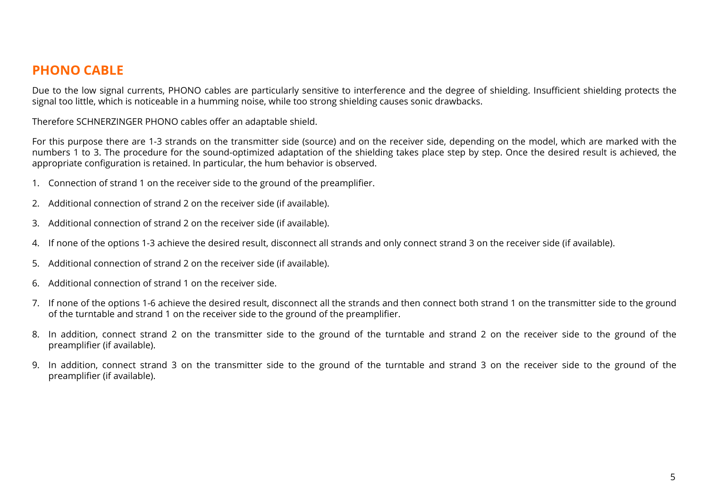#### **PHONO CABLE**

Due to the low signal currents, PHONO cables are particularly sensitive to interference and the degree of shielding. Insufficient shielding protects the signal too little, which is noticeable in a humming noise, while too strong shielding causes sonic drawbacks.

Therefore SCHNERZINGER PHONO cables offer an adaptable shield.

For this purpose there are 1-3 strands on the transmitter side (source) and on the receiver side, depending on the model, which are marked with the numbers 1 to 3. The procedure for the sound-optimized adaptation of the shielding takes place step by step. Once the desired result is achieved, the appropriate configuration is retained. In particular, the hum behavior is observed.

- 1. Connection of strand 1 on the receiver side to the ground of the preamplifier.
- 2. Additional connection of strand 2 on the receiver side (if available).
- 3. Additional connection of strand 2 on the receiver side (if available).
- 4. If none of the options 1-3 achieve the desired result, disconnect all strands and only connect strand 3 on the receiver side (if available).
- 5. Additional connection of strand 2 on the receiver side (if available).
- 6. Additional connection of strand 1 on the receiver side.
- 7. If none of the options 1-6 achieve the desired result, disconnect all the strands and then connect both strand 1 on the transmitter side to the ground of the turntable and strand 1 on the receiver side to the ground of the preamplifier.
- 8. In addition, connect strand 2 on the transmitter side to the ground of the turntable and strand 2 on the receiver side to the ground of the preamplifier (if available).
- 9. In addition, connect strand 3 on the transmitter side to the ground of the turntable and strand 3 on the receiver side to the ground of the preamplifier (if available).